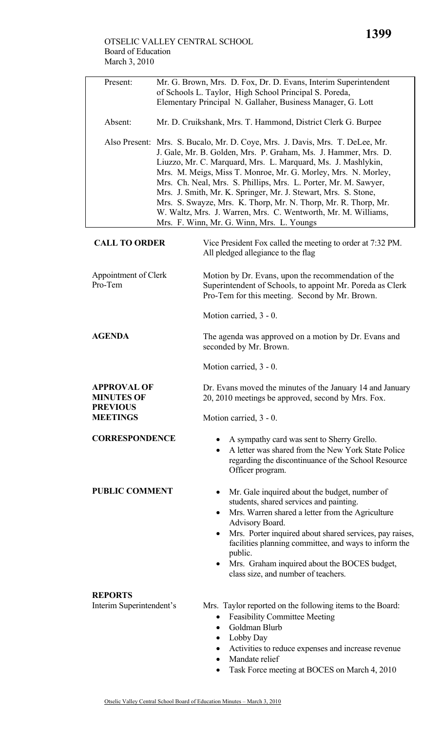## OTSELIC VALLEY CENTRAL SCHOOL Board of Education March 3, 2010

| Present:                                                   | Mr. G. Brown, Mrs. D. Fox, Dr. D. Evans, Interim Superintendent<br>of Schools L. Taylor, High School Principal S. Poreda,<br>Elementary Principal N. Gallaher, Business Manager, G. Lott                                                                                                                                                                                                                                                                                                                                                                                                             |                                                                                                                                                                                                                                                                                                                                                                                                                      |  |  |  |
|------------------------------------------------------------|------------------------------------------------------------------------------------------------------------------------------------------------------------------------------------------------------------------------------------------------------------------------------------------------------------------------------------------------------------------------------------------------------------------------------------------------------------------------------------------------------------------------------------------------------------------------------------------------------|----------------------------------------------------------------------------------------------------------------------------------------------------------------------------------------------------------------------------------------------------------------------------------------------------------------------------------------------------------------------------------------------------------------------|--|--|--|
| Absent:                                                    |                                                                                                                                                                                                                                                                                                                                                                                                                                                                                                                                                                                                      | Mr. D. Cruikshank, Mrs. T. Hammond, District Clerk G. Burpee                                                                                                                                                                                                                                                                                                                                                         |  |  |  |
|                                                            | Also Present: Mrs. S. Bucalo, Mr. D. Coye, Mrs. J. Davis, Mrs. T. DeLee, Mr.<br>J. Gale, Mr. B. Golden, Mrs. P. Graham, Ms. J. Hammer, Mrs. D.<br>Liuzzo, Mr. C. Marquard, Mrs. L. Marquard, Ms. J. Mashlykin,<br>Mrs. M. Meigs, Miss T. Monroe, Mr. G. Morley, Mrs. N. Morley,<br>Mrs. Ch. Neal, Mrs. S. Phillips, Mrs. L. Porter, Mr. M. Sawyer,<br>Mrs. J. Smith, Mr. K. Springer, Mr. J. Stewart, Mrs. S. Stone,<br>Mrs. S. Swayze, Mrs. K. Thorp, Mr. N. Thorp, Mr. R. Thorp, Mr.<br>W. Waltz, Mrs. J. Warren, Mrs. C. Wentworth, Mr. M. Williams,<br>Mrs. F. Winn, Mr. G. Winn, Mrs. L. Youngs |                                                                                                                                                                                                                                                                                                                                                                                                                      |  |  |  |
| <b>CALL TO ORDER</b>                                       |                                                                                                                                                                                                                                                                                                                                                                                                                                                                                                                                                                                                      | Vice President Fox called the meeting to order at 7:32 PM.<br>All pledged allegiance to the flag                                                                                                                                                                                                                                                                                                                     |  |  |  |
| Appointment of Clerk<br>Pro-Tem                            |                                                                                                                                                                                                                                                                                                                                                                                                                                                                                                                                                                                                      | Motion by Dr. Evans, upon the recommendation of the<br>Superintendent of Schools, to appoint Mr. Poreda as Clerk<br>Pro-Tem for this meeting. Second by Mr. Brown.                                                                                                                                                                                                                                                   |  |  |  |
|                                                            |                                                                                                                                                                                                                                                                                                                                                                                                                                                                                                                                                                                                      | Motion carried, 3 - 0.                                                                                                                                                                                                                                                                                                                                                                                               |  |  |  |
| <b>AGENDA</b>                                              |                                                                                                                                                                                                                                                                                                                                                                                                                                                                                                                                                                                                      | The agenda was approved on a motion by Dr. Evans and<br>seconded by Mr. Brown.                                                                                                                                                                                                                                                                                                                                       |  |  |  |
|                                                            |                                                                                                                                                                                                                                                                                                                                                                                                                                                                                                                                                                                                      | Motion carried, 3 - 0.                                                                                                                                                                                                                                                                                                                                                                                               |  |  |  |
| <b>APPROVAL OF</b><br><b>MINUTES OF</b><br><b>PREVIOUS</b> |                                                                                                                                                                                                                                                                                                                                                                                                                                                                                                                                                                                                      | Dr. Evans moved the minutes of the January 14 and January<br>20, 2010 meetings be approved, second by Mrs. Fox.                                                                                                                                                                                                                                                                                                      |  |  |  |
| <b>MEETINGS</b>                                            |                                                                                                                                                                                                                                                                                                                                                                                                                                                                                                                                                                                                      | Motion carried, 3 - 0.                                                                                                                                                                                                                                                                                                                                                                                               |  |  |  |
| <b>CORRESPONDENCE</b>                                      |                                                                                                                                                                                                                                                                                                                                                                                                                                                                                                                                                                                                      | A sympathy card was sent to Sherry Grello.<br>A letter was shared from the New York State Police<br>$\bullet$<br>regarding the discontinuance of the School Resource<br>Officer program.                                                                                                                                                                                                                             |  |  |  |
| <b>PUBLIC COMMENT</b>                                      |                                                                                                                                                                                                                                                                                                                                                                                                                                                                                                                                                                                                      | Mr. Gale inquired about the budget, number of<br>students, shared services and painting.<br>Mrs. Warren shared a letter from the Agriculture<br>٠<br>Advisory Board.<br>Mrs. Porter inquired about shared services, pay raises,<br>$\bullet$<br>facilities planning committee, and ways to inform the<br>public.<br>Mrs. Graham inquired about the BOCES budget,<br>$\bullet$<br>class size, and number of teachers. |  |  |  |
| <b>REPORTS</b><br>Interim Superintendent's                 |                                                                                                                                                                                                                                                                                                                                                                                                                                                                                                                                                                                                      | Mrs. Taylor reported on the following items to the Board:<br><b>Feasibility Committee Meeting</b><br>٠<br>Goldman Blurb<br>$\bullet$<br>Lobby Day<br>$\bullet$<br>Activities to reduce expenses and increase revenue<br>Mandate relief<br>$\bullet$<br>Task Force meeting at BOCES on March 4, 2010                                                                                                                  |  |  |  |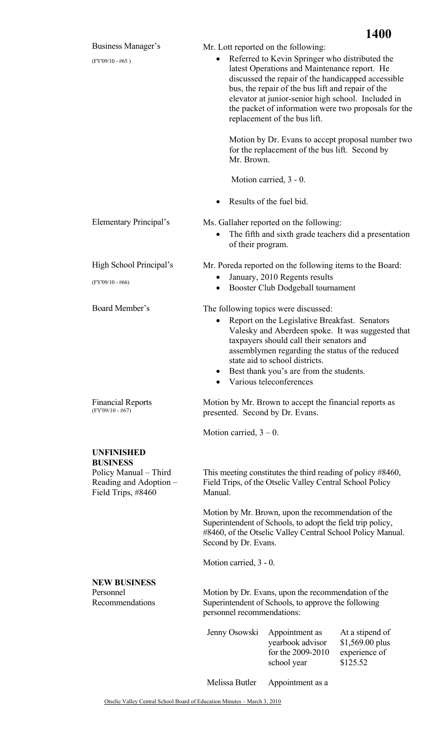|                                                                                          | 1400                                                                                                                                                                                                                                                                                                                                                                                                        |  |  |  |
|------------------------------------------------------------------------------------------|-------------------------------------------------------------------------------------------------------------------------------------------------------------------------------------------------------------------------------------------------------------------------------------------------------------------------------------------------------------------------------------------------------------|--|--|--|
| Business Manager's<br>$(FY'09/10 - #65)$                                                 | Mr. Lott reported on the following:<br>Referred to Kevin Springer who distributed the<br>$\bullet$<br>latest Operations and Maintenance report. He<br>discussed the repair of the handicapped accessible<br>bus, the repair of the bus lift and repair of the<br>elevator at junior-senior high school. Included in<br>the packet of information were two proposals for the<br>replacement of the bus lift. |  |  |  |
|                                                                                          | Motion by Dr. Evans to accept proposal number two<br>for the replacement of the bus lift. Second by<br>Mr. Brown.                                                                                                                                                                                                                                                                                           |  |  |  |
|                                                                                          | Motion carried, 3 - 0.                                                                                                                                                                                                                                                                                                                                                                                      |  |  |  |
|                                                                                          | Results of the fuel bid.<br>$\bullet$                                                                                                                                                                                                                                                                                                                                                                       |  |  |  |
| Elementary Principal's                                                                   | Ms. Gallaher reported on the following:<br>The fifth and sixth grade teachers did a presentation<br>$\bullet$<br>of their program.                                                                                                                                                                                                                                                                          |  |  |  |
| High School Principal's                                                                  | Mr. Poreda reported on the following items to the Board:                                                                                                                                                                                                                                                                                                                                                    |  |  |  |
| $(FY'09/10 - #66)$                                                                       | January, 2010 Regents results<br>$\bullet$<br>Booster Club Dodgeball tournament                                                                                                                                                                                                                                                                                                                             |  |  |  |
| Board Member's                                                                           | The following topics were discussed:<br>Report on the Legislative Breakfast. Senators<br>$\bullet$<br>Valesky and Aberdeen spoke. It was suggested that<br>taxpayers should call their senators and<br>assemblymen regarding the status of the reduced<br>state aid to school districts.<br>Best thank you's are from the students.<br>٠<br>Various teleconferences<br>$\bullet$                            |  |  |  |
| <b>Financial Reports</b><br>$(FY'09/10 - #67)$                                           | Motion by Mr. Brown to accept the financial reports as<br>presented. Second by Dr. Evans.                                                                                                                                                                                                                                                                                                                   |  |  |  |
|                                                                                          | Motion carried, $3 - 0$ .                                                                                                                                                                                                                                                                                                                                                                                   |  |  |  |
| <b>UNFINISHED</b>                                                                        |                                                                                                                                                                                                                                                                                                                                                                                                             |  |  |  |
| <b>BUSINESS</b><br>Policy Manual - Third<br>Reading and Adoption -<br>Field Trips, #8460 | This meeting constitutes the third reading of policy #8460,<br>Field Trips, of the Otselic Valley Central School Policy<br>Manual.                                                                                                                                                                                                                                                                          |  |  |  |
|                                                                                          | Motion by Mr. Brown, upon the recommendation of the<br>Superintendent of Schools, to adopt the field trip policy,<br>#8460, of the Otselic Valley Central School Policy Manual.<br>Second by Dr. Evans.                                                                                                                                                                                                     |  |  |  |
|                                                                                          | Motion carried, 3 - 0.                                                                                                                                                                                                                                                                                                                                                                                      |  |  |  |
| <b>NEW BUSINESS</b><br>Personnel<br>Recommendations                                      | Motion by Dr. Evans, upon the recommendation of the<br>Superintendent of Schools, to approve the following<br>personnel recommendations:                                                                                                                                                                                                                                                                    |  |  |  |
|                                                                                          | Jenny Osowski<br>Appointment as<br>At a stipend of<br>yearbook advisor<br>$$1,569.00$ plus<br>for the 2009-2010<br>experience of<br>school year<br>\$125.52                                                                                                                                                                                                                                                 |  |  |  |
|                                                                                          | Melissa Butler<br>Appointment as a                                                                                                                                                                                                                                                                                                                                                                          |  |  |  |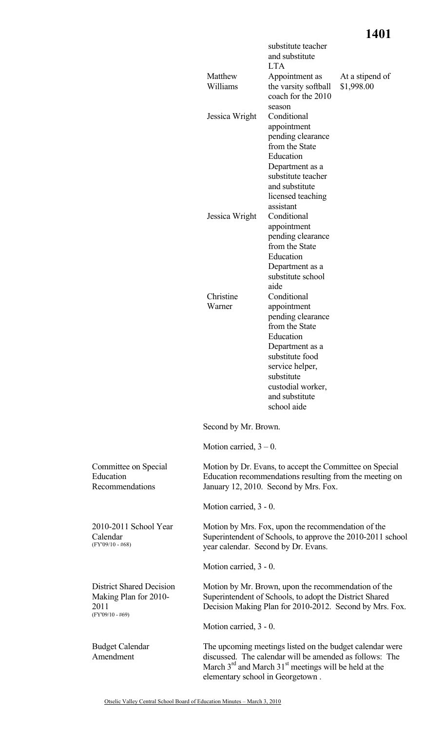## **1401**

|                                                                                        |                                                                                                                                                             | substitute teacher<br>and substitute<br><b>LTA</b>                                                                                                                                                          |                                                            |  |
|----------------------------------------------------------------------------------------|-------------------------------------------------------------------------------------------------------------------------------------------------------------|-------------------------------------------------------------------------------------------------------------------------------------------------------------------------------------------------------------|------------------------------------------------------------|--|
|                                                                                        | Matthew<br>Williams                                                                                                                                         | Appointment as<br>the varsity softball<br>coach for the 2010                                                                                                                                                | At a stipend of<br>\$1,998.00                              |  |
|                                                                                        | Jessica Wright                                                                                                                                              | season<br>Conditional<br>appointment<br>pending clearance<br>from the State<br>Education<br>Department as a<br>substitute teacher<br>and substitute<br>licensed teaching<br>assistant                       |                                                            |  |
|                                                                                        | Jessica Wright                                                                                                                                              | Conditional<br>appointment<br>pending clearance<br>from the State<br>Education<br>Department as a<br>substitute school<br>aide                                                                              |                                                            |  |
|                                                                                        | Christine<br>Warner                                                                                                                                         | Conditional<br>appointment<br>pending clearance<br>from the State<br>Education<br>Department as a<br>substitute food<br>service helper.<br>substitute<br>custodial worker,<br>and substitute<br>school aide |                                                            |  |
|                                                                                        | Second by Mr. Brown.                                                                                                                                        |                                                                                                                                                                                                             |                                                            |  |
|                                                                                        | Motion carried, $3 - 0$ .                                                                                                                                   |                                                                                                                                                                                                             |                                                            |  |
| Committee on Special<br>Education<br>Recommendations                                   | Motion by Dr. Evans, to accept the Committee on Special<br>Education recommendations resulting from the meeting on<br>January 12, 2010. Second by Mrs. Fox. |                                                                                                                                                                                                             |                                                            |  |
|                                                                                        | Motion carried, 3 - 0.                                                                                                                                      |                                                                                                                                                                                                             |                                                            |  |
| 2010-2011 School Year<br>Calendar<br>$(FY'09/10 - #68)$                                |                                                                                                                                                             | Motion by Mrs. Fox, upon the recommendation of the<br>year calendar. Second by Dr. Evans.                                                                                                                   | Superintendent of Schools, to approve the 2010-2011 school |  |
|                                                                                        | Motion carried, 3 - 0.                                                                                                                                      |                                                                                                                                                                                                             |                                                            |  |
| <b>District Shared Decision</b><br>Making Plan for 2010-<br>2011<br>$(FY'09/10 - #69)$ |                                                                                                                                                             | Motion by Mr. Brown, upon the recommendation of the<br>Superintendent of Schools, to adopt the District Shared<br>Decision Making Plan for 2010-2012. Second by Mrs. Fox.                                   |                                                            |  |
|                                                                                        | Motion carried, 3 - 0.                                                                                                                                      |                                                                                                                                                                                                             |                                                            |  |
| <b>Budget Calendar</b><br>Amendment                                                    |                                                                                                                                                             | The upcoming meetings listed on the budget calendar were<br>discussed. The calendar will be amended as follows: The<br>March $3rd$ and March $31st$ meetings will be held at the                            |                                                            |  |

elementary school in Georgetown .